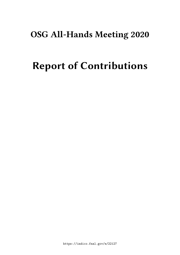# **OSG All-Hands Meeting 2020**

# **Report of Contributions**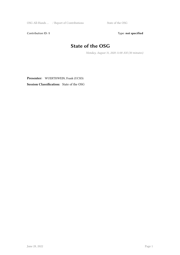Contribution ID: 1 Type: **not specified** 

## **State of the OSG**

*Monday, August 31, 2020 11:00 AM (30 minutes)*

**Presenter:** WUERTHWEIN, Frank (UCSD) **Session Classification:** State of the OSG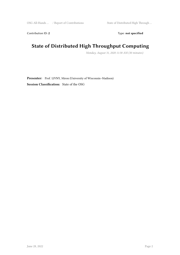Contribution ID: 2 Type: **not specified** 

# **State of Distributed High Throughput Computing**

*Monday, August 31, 2020 11:30 AM (30 minutes)*

**Presenter:** Prof. LIVNY, Miron (University of Wisconsin–Madison) **Session Classification:** State of the OSG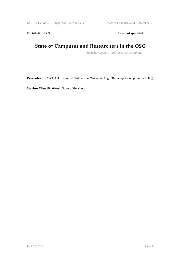Contribution ID: 3 Type: **not specified** 

## **State of Campuses and Researchers in the OSG**

*Monday, August 31, 2020 12:00 PM (30 minutes)*

**Presenter:** MICHAEL, Lauren (UW-Madison Center for High Throughput Computing (CHTC))

**Session Classification:** State of the OSG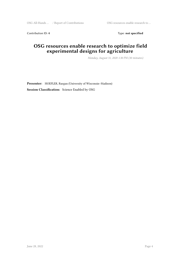Contribution ID: 4 Type: **not specified** 

### **OSG resources enable research to optimize field experimental designs for agriculture**

*Monday, August 31, 2020 1:30 PM (30 minutes)*

**Presenter:** HOEFLER, Raegan (University of Wisconsin–Madison) **Session Classification:** Science Enabled by OSG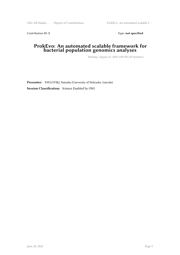Contribution ID: 5 Type: **not specified** 

#### **ProkEvo: An automated scalable framework for bacterial population genomics analyses**

*Monday, August 31, 2020 2:00 PM (30 minutes)*

**Presenter:** PAVLOVIKJ, Natasha (University of Nebraska–Lincoln)

**Session Classification:** Science Enabled by OSG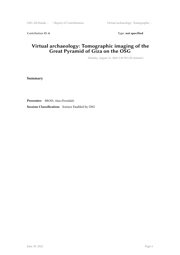Contribution ID: 6 Type: **not specified** 

#### **Virtual archaeology: Tomographic imaging of the Great Pyramid of Giza on the OSG**

*Monday, August 31, 2020 2:30 PM (30 minutes)*

**Summary**

**Presenter:** BROSS, Alan (Fermilab)

**Session Classification:** Science Enabled by OSG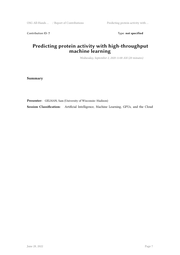Contribution ID: 7 Type: **not specified** 

## **Predicting protein activity with high-throughput machine learning**

*Wednesday, September 2, 2020 11:00 AM (20 minutes)*

**Summary**

**Presenter:** GELMAN, Sam (University of Wisconsin–Madison)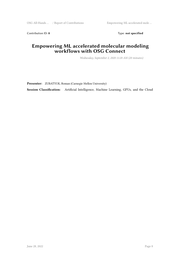Contribution ID: 8 Type: **not specified** 

#### **Empowering ML accelerated molecular modeling workflows with OSG Connect**

*Wednesday, September 2, 2020 11:20 AM (20 minutes)*

**Presenter:** ZUBATYUK, Roman (Carnegie Mellon University)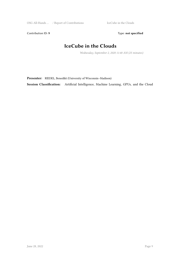Contribution ID: 9 Type: **not specified** 

## **IceCube in the Clouds**

*Wednesday, September 2, 2020 11:40 AM (25 minutes)*

**Presenter:** RIEDEL, Benedikt (University of Wisconsin–Madison)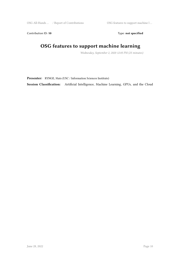Contribution ID: 10 Type: not specified

# **OSG features to support machine learning**

*Wednesday, September 2, 2020 12:05 PM (25 minutes)*

**Presenter:** RYNGE, Mats (USC / Information Sciences Institute)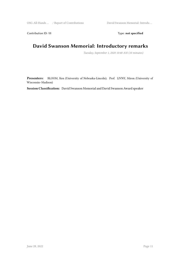Contribution ID: 11 Type: **not specified** 

## **David Swanson Memorial: Introductory remarks**

*Tuesday, September 1, 2020 10:40 AM (10 minutes)*

**Presenters:** BLOOM, Ken (University of Nebraska-Lincoln); Prof. LIVNY, Miron (University of Wisconsin–Madison)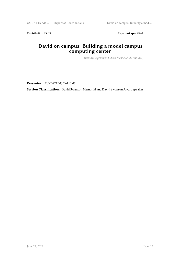Contribution ID: 12 Type: not specified

### **David on campus: Building a model campus computing center**

*Tuesday, September 1, 2020 10:50 AM (20 minutes)*

**Presenter:** LUNDSTEDT, Carl (CMS)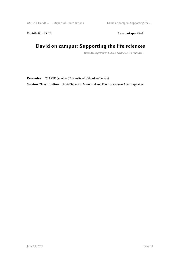Contribution ID: 13 Type: **not specified** 

## **David on campus: Supporting the life sciences**

*Tuesday, September 1, 2020 11:10 AM (15 minutes)*

**Presenter:** CLARKE, Jennifer (University of Nebraska–Lincoln)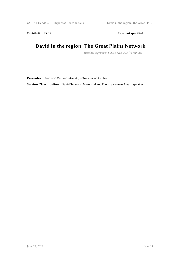Contribution ID: 14 Type: **not specified** 

## **David in the region: The Great Plains Network**

*Tuesday, September 1, 2020 11:25 AM (15 minutes)*

**Presenter:** BROWN, Carrie (University of Nebraska–Lincoln)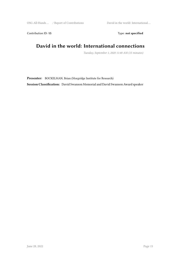Contribution ID: 15 Type: **not specified** 

## **David in the world: International connections**

*Tuesday, September 1, 2020 11:40 AM (15 minutes)*

**Presenter:** BOCKELMAN, Brian (Morgridge Institute for Research) **Session Classification:** David Swanson Memorial and David Swanson Award speaker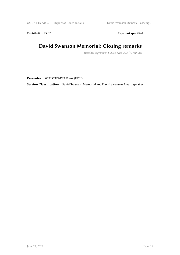Contribution ID: 16 Type: **not specified** 

## **David Swanson Memorial: Closing remarks**

*Tuesday, September 1, 2020 11:55 AM (10 minutes)*

**Presenter:** WUERTHWEIN, Frank (UCSD)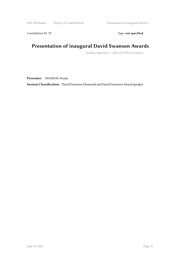Contribution ID: 17 Type: **not specified** 

# **Presentation of inaugural David Swanson Awards**

*Tuesday, September 1, 2020 12:05 PM (5 minutes)*

**Presenter:** SWANSON, Ronda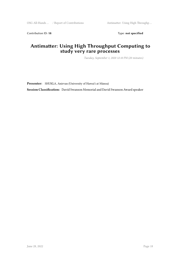Contribution ID: 18 Type: **not specified** 

## **Antimatter: Using High Throughput Computing to study very rare processes**

*Tuesday, September 1, 2020 12:10 PM (20 minutes)*

**Presenter:** SHUKLA, Anirvan (University of Hawaiʻi at Mānoa)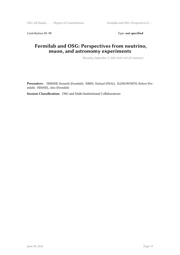Contribution ID: 19 Type: **not specified** 

## **Fermilab and OSG: Perspectives from neutrino, muon, and astronomy experiments**

*Thursday, September 3, 2020 10:45 AM (25 minutes)*

**Presenters:** HERNER, Kenneth (Fermilab); KIRBY, Michael (FNAL); ILLINGWORTH, Robert (Fermilab); HIMMEL, Alex (Fermilab)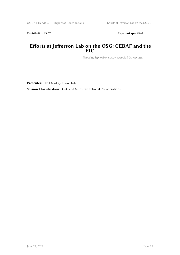Contribution ID: 20 Type: **not specified** 

#### **Efforts at Jefferson Lab on the OSG: CEBAF and the EIC**

*Thursday, September 3, 2020 11:10 AM (20 minutes)*

**Presenter:** ITO, Mark (Jefferson Lab)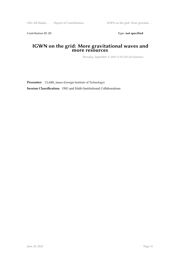Contribution ID: 21 Type: **not specified** 

#### **IGWN on the grid: More gravitational waves and more resources**

*Thursday, September 3, 2020 11:30 AM (20 minutes)*

**Presenter:** CLARK, James (Georgia Institute of Technology)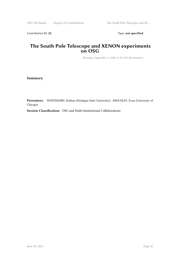Contribution ID: 22 Type: **not specified** 

#### **The South Pole Telescope and XENON experiments on OSG**

*Thursday, September 3, 2020 11:50 AM (20 minutes)*

**Summary**

**Presenters:** WHITEHORN, Nathan (Michigan State University); SHOCKLEY, Evan (University of Chicago)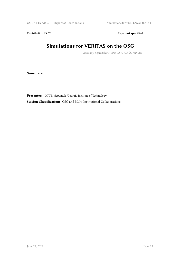Contribution ID: 23 Type: **not specified** 

# **Simulations for VERITAS on the OSG**

*Thursday, September 3, 2020 12:10 PM (20 minutes)*

**Summary**

**Presenter:** OTTE, Nepomuk (Georgia Institute of Technology)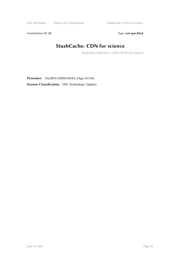Contribution ID: 24 Type: **not specified** 

## **StashCache: CDN for science**

*Wednesday, September 2, 2020 1:30 PM (20 minutes)*

**Presenter:** FAJARDO HERNANDEZ, Edgar (UCSD)

**Session Classification:** OSG Technology Updates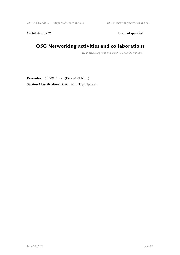Contribution ID: 25 Type: **not specified** 

# **OSG Networking activities and collaborations**

*Wednesday, September 2, 2020 1:50 PM (20 minutes)*

**Presenter:** MCKEE, Shawn (Univ. of Michigan)

**Session Classification:** OSG Technology Updates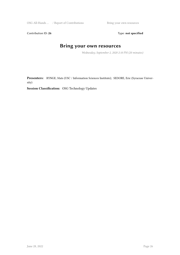Contribution ID: 26 Type: **not specified** 

## **Bring your own resources**

*Wednesday, September 2, 2020 2:10 PM (20 minutes)*

Presenters: RYNGE, Mats (USC / Information Sciences Institute); SEDORE, Eric (Syracuse University)

**Session Classification:** OSG Technology Updates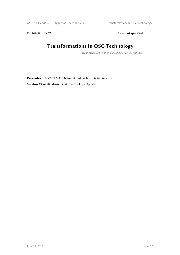Contribution ID: 27 Type: **not specified** 

# **Transformations in OSG Technology**

*Wednesday, September 2, 2020 2:30 PM (30 minutes)*

**Presenter:** BOCKELMAN, Brian (Morgridge Institute for Research) **Session Classification:** OSG Technology Updates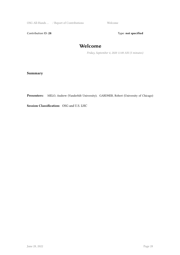OSG All-Hands ... / Report of Contributions Welcome

Contribution ID: 28 Type: **not specified** 

## **Welcome**

*Friday, September 4, 2020 11:00 AM (5 minutes)*

#### **Summary**

**Presenters:** MELO, Andrew (Vanderbilt University); GARDNER, Robert (University of Chicago)

**Session Classification:** OSG and U.S. LHC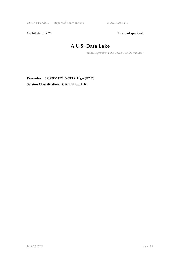Contribution ID: 29 Type: **not specified** 

## **A U.S. Data Lake**

*Friday, September 4, 2020 11:05 AM (20 minutes)*

**Presenter:** FAJARDO HERNANDEZ, Edgar (UCSD) **Session Classification:** OSG and U.S. LHC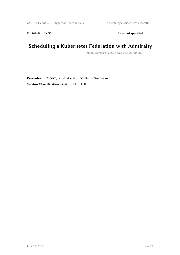Contribution ID: 30 Type: **not specified** 

# **Scheduling a Kubernetes Federation with Admiralty**

*Friday, September 4, 2020 11:25 AM (20 minutes)*

**Presenter:** SFILIGOI, Igor (University of California San Diego) **Session Classification:** OSG and U.S. LHC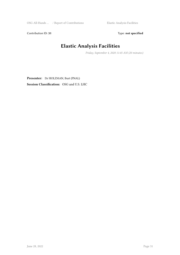Contribution ID: 31 Type: **not specified** 

# **Elastic Analysis Facilities**

*Friday, September 4, 2020 11:45 AM (20 minutes)*

**Presenter:** Dr HOLZMAN, Burt (FNAL) **Session Classification:** OSG and U.S. LHC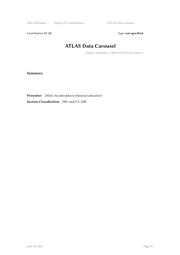Contribution ID: 32 Type: **not specified** 

## **ATLAS Data Carousel**

*Friday, September 4, 2020 12:05 PM (20 minutes)*

**Summary**

**Presenter:** ZHAO, Xin (Brookhaven National Laboratory)

**Session Classification:** OSG and U.S. LHC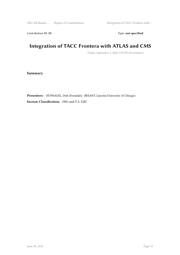Contribution ID: 33 Type: **not specified** 

## **Integration of TACC Frontera with ATLAS and CMS**

*Friday, September 4, 2020 1:30 PM (30 minutes)*

**Summary**

**Presenters:** HUFNAGEL, Dirk (Fermilab); BRYANT, Lincoln (University of Chicago) **Session Classification:** OSG and U.S. LHC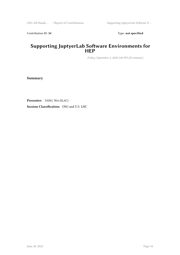Contribution ID: 34 Type: **not specified** 

#### **Supporting JuptyerLab Software Environments for HEP**

*Friday, September 4, 2020 2:00 PM (20 minutes)*

**Summary**

**Presenter:** YANG, Wei (SLAC) **Session Classification:** OSG and U.S. LHC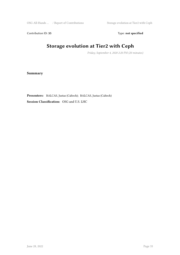Contribution ID: 35 Type: **not specified** 

# **Storage evolution at Tier2 with Ceph**

*Friday, September 4, 2020 2:20 PM (20 minutes)*

**Summary**

**Presenters:** BALCAS, Justas (Caltech); BALCAS, Justas (Caltech)

**Session Classification:** OSG and U.S. LHC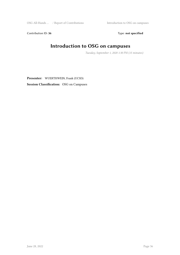Contribution ID: 36 Type: **not specified** 

## **Introduction to OSG on campuses**

*Tuesday, September 1, 2020 1:30 PM (15 minutes)*

**Presenter:** WUERTHWEIN, Frank (UCSD) **Session Classification:** OSG on Campuses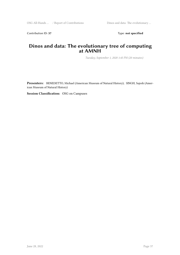Contribution ID: 37 Type: **not specified** 

#### **Dinos and data: The evolutionary tree of computing at AMNH**

*Tuesday, September 1, 2020 1:45 PM (20 minutes)*

**Presenters:** BENEDETTO, Michael (American Museum of Natural History); SINGH, Sajesh (American Museum of Natural History)

**Session Classification:** OSG on Campuses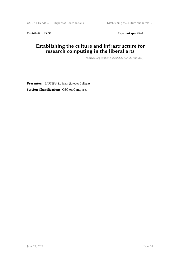Contribution ID: 38 Type: **not specified** 

## **Establishing the culture and infrastructure for research computing in the liberal arts**

*Tuesday, September 1, 2020 2:05 PM (20 minutes)*

**Presenter:** LARKINS, D. Brian (Rhodes College) **Session Classification:** OSG on Campuses